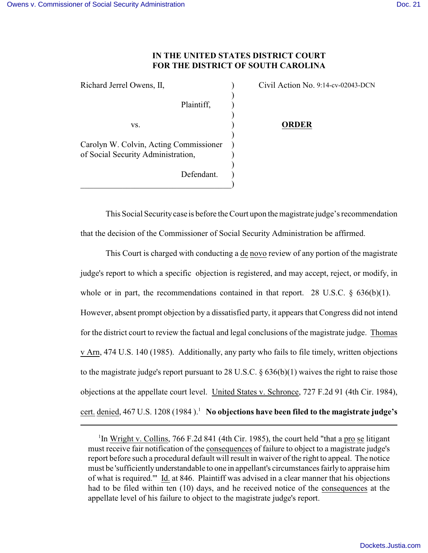## **IN THE UNITED STATES DISTRICT COURT FOR THE DISTRICT OF SOUTH CAROLINA**

| Richard Jerrel Owens, II,              | Civil Action No. 9:14-cv-02043-DCN |
|----------------------------------------|------------------------------------|
|                                        |                                    |
| Plaintiff,                             |                                    |
|                                        |                                    |
| VS.                                    | <b>ORDER</b>                       |
|                                        |                                    |
| Carolyn W. Colvin, Acting Commissioner |                                    |
| of Social Security Administration,     |                                    |
|                                        |                                    |
| Defendant.                             |                                    |
|                                        |                                    |

This Social Security case is before the Court upon the magistrate judge's recommendation that the decision of the Commissioner of Social Security Administration be affirmed.

This Court is charged with conducting a de novo review of any portion of the magistrate judge's report to which a specific objection is registered, and may accept, reject, or modify, in whole or in part, the recommendations contained in that report. 28 U.S.C.  $\delta$  636(b)(1). However, absent prompt objection by a dissatisfied party, it appears that Congress did not intend for the district court to review the factual and legal conclusions of the magistrate judge. Thomas v Arn, 474 U.S. 140 (1985). Additionally, any party who fails to file timely, written objections to the magistrate judge's report pursuant to 28 U.S.C. § 636(b)(1) waives the right to raise those objections at the appellate court level. United States v. Schronce, 727 F.2d 91 (4th Cir. 1984), cert. denied, 467 U.S. 1208 (1984).<sup>1</sup> No objections have been filed to the magistrate judge's

<sup>&</sup>lt;sup>1</sup>In Wright v. Collins, 766 F.2d 841 (4th Cir. 1985), the court held "that a pro se litigant" must receive fair notification of the consequences of failure to object to a magistrate judge's report before such a procedural default will result in waiver of the right to appeal. The notice must be 'sufficiently understandable to one in appellant's circumstances fairly to appraise him of what is required.'" Id. at 846. Plaintiff was advised in a clear manner that his objections had to be filed within ten (10) days, and he received notice of the consequences at the appellate level of his failure to object to the magistrate judge's report.